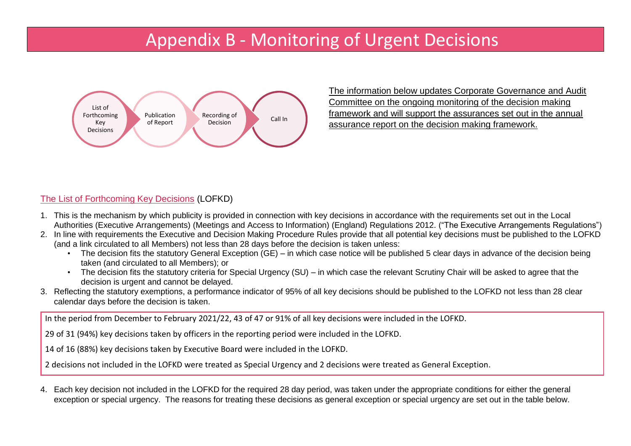# Appendix B - Monitoring of Urgent Decisions



The information below updates Corporate Governance and Audit Committee on the ongoing monitoring of the decision making framework and will support the assurances set out in the annual assurance report on the decision making framework.

# The List of Forthcoming Key Decisions (LOFKD)

- 1. This is the mechanism by which publicity is provided in connection with key decisions in accordance with the requirements set out in the Local Authorities (Executive Arrangements) (Meetings and Access to Information) (England) Regulations 2012. ("The Executive Arrangements Regulations")
- 2. In line with requirements the Executive and Decision Making Procedure Rules provide that all potential key decisions must be published to the LOFKD (and a link circulated to all Members) not less than 28 days before the decision is taken unless:
	- The decision fits the statutory General Exception (GE) in which case notice will be published 5 clear days in advance of the decision being taken (and circulated to all Members); or
	- The decision fits the statutory criteria for Special Urgency (SU) in which case the relevant Scrutiny Chair will be asked to agree that the decision is urgent and cannot be delayed.
- 3. Reflecting the statutory exemptions, a performance indicator of 95% of all key decisions should be published to the LOFKD not less than 28 clear calendar days before the decision is taken.

In the period from December to February 2021/22, 43 of 47 or 91% of all key decisions were included in the LOFKD.

29 of 31 (94%) key decisions taken by officers in the reporting period were included in the LOFKD.

14 of 16 (88%) key decisions taken by Executive Board were included in the LOFKD.

2 decisions not included in the LOFKD were treated as Special Urgency and 2 decisions were treated as General Exception.

4. Each key decision not included in the LOFKD for the required 28 day period, was taken under the appropriate conditions for either the general exception or special urgency. The reasons for treating these decisions as general exception or special urgency are set out in the table below.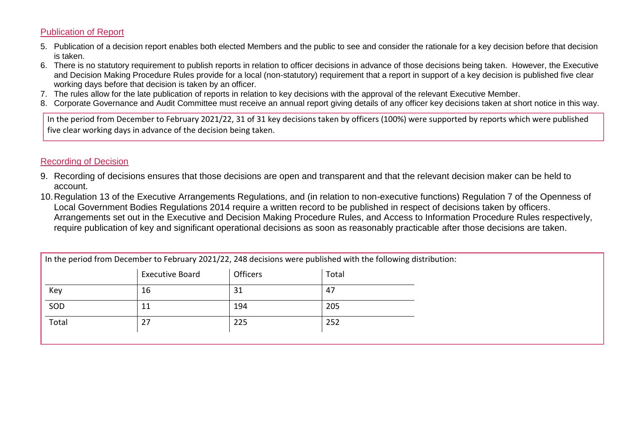## Publication of Report

- 5. Publication of a decision report enables both elected Members and the public to see and consider the rationale for a key decision before that decision is taken.
- 6. There is no statutory requirement to publish reports in relation to officer decisions in advance of those decisions being taken. However, the Executive and Decision Making Procedure Rules provide for a local (non-statutory) requirement that a report in support of a key decision is published five clear working days before that decision is taken by an officer.
- 7. The rules allow for the late publication of reports in relation to key decisions with the approval of the relevant Executive Member.
- 8. Corporate Governance and Audit Committee must receive an annual report giving details of any officer key decisions taken at short notice in this way.

In the period from December to February 2021/22, 31 of 31 key decisions taken by officers (100%) were supported by reports which were published five clear working days in advance of the decision being taken.

## Recording of Decision

- 9. Recording of decisions ensures that those decisions are open and transparent and that the relevant decision maker can be held to account.
- 10.Regulation 13 of the Executive Arrangements Regulations, and (in relation to non-executive functions) Regulation 7 of the Openness of Local Government Bodies Regulations 2014 require a written record to be published in respect of decisions taken by officers. Arrangements set out in the Executive and Decision Making Procedure Rules, and Access to Information Procedure Rules respectively, require publication of key and significant operational decisions as soon as reasonably practicable after those decisions are taken.

|       | <b>Executive Board</b> | <b>Officers</b> | Total |
|-------|------------------------|-----------------|-------|
| Key   | 16                     | 31              | 47    |
| SOD   | 11                     | 194             | 205   |
| Total | 27                     | 225             | 252   |
|       |                        |                 |       |

In the period from December to February 2021/22, 248 decisions were published with the following distribution: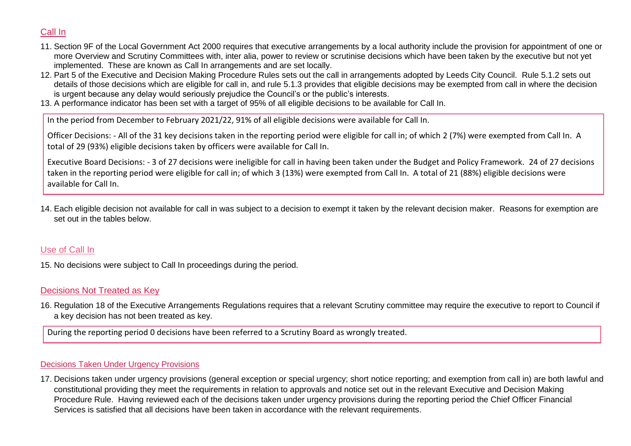# Call In

- 11. Section 9F of the Local Government Act 2000 requires that executive arrangements by a local authority include the provision for appointment of one or more Overview and Scrutiny Committees with, inter alia, power to review or scrutinise decisions which have been taken by the executive but not yet implemented. These are known as Call In arrangements and are set locally.
- 12. Part 5 of the Executive and Decision Making Procedure Rules sets out the call in arrangements adopted by Leeds City Council. Rule 5.1.2 sets out details of those decisions which are eligible for call in, and rule 5.1.3 provides that eligible decisions may be exempted from call in where the decision is urgent because any delay would seriously prejudice the Council's or the public's interests.
- 13. A performance indicator has been set with a target of 95% of all eligible decisions to be available for Call In.

In the period from December to February 2021/22, 91% of all eligible decisions were available for Call In.

Officer Decisions: - All of the 31 key decisions taken in the reporting period were eligible for call in; of which 2 (7%) were exempted from Call In. A total of 29 (93%) eligible decisions taken by officers were available for Call In.

Executive Board Decisions: - 3 of 27 decisions were ineligible for call in having been taken under the Budget and Policy Framework. 24 of 27 decisions taken in the reporting period were eligible for call in; of which 3 (13%) were exempted from Call In. A total of 21 (88%) eligible decisions were available for Call In.

14. Each eligible decision not available for call in was subject to a decision to exempt it taken by the relevant decision maker. Reasons for exemption are set out in the tables below.

## Use of Call In

15. No decisions were subject to Call In proceedings during the period.

## Decisions Not Treated as Key

16. Regulation 18 of the Executive Arrangements Regulations requires that a relevant Scrutiny committee may require the executive to report to Council if a key decision has not been treated as key.

During the reporting period 0 decisions have been referred to a Scrutiny Board as wrongly treated.

### Decisions Taken Under Urgency Provisions

17. Decisions taken under urgency provisions (general exception or special urgency; short notice reporting; and exemption from call in) are both lawful and constitutional providing they meet the requirements in relation to approvals and notice set out in the relevant Executive and Decision Making Procedure Rule. Having reviewed each of the decisions taken under urgency provisions during the reporting period the Chief Officer Financial Services is satisfied that all decisions have been taken in accordance with the relevant requirements.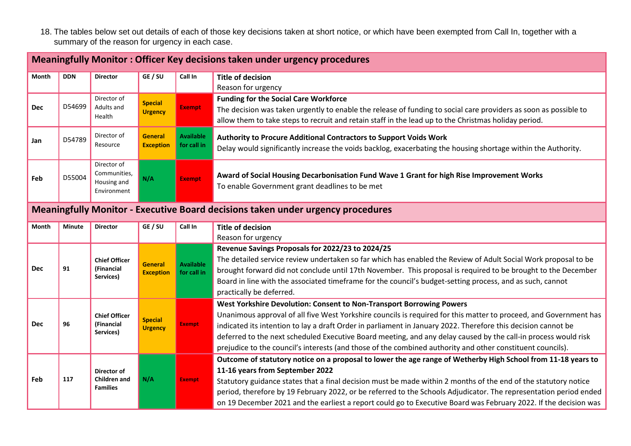18. The tables below set out details of each of those key decisions taken at short notice, or which have been exempted from Call In, together with a summary of the reason for urgency in each case.

|            | <b>Meaningfully Monitor: Officer Key decisions taken under urgency procedures</b>      |                                                              |                                    |                                 |                                                                                                                                                                                                                                                                                                                                                                                                                                                                                                                                            |  |
|------------|----------------------------------------------------------------------------------------|--------------------------------------------------------------|------------------------------------|---------------------------------|--------------------------------------------------------------------------------------------------------------------------------------------------------------------------------------------------------------------------------------------------------------------------------------------------------------------------------------------------------------------------------------------------------------------------------------------------------------------------------------------------------------------------------------------|--|
| Month      | <b>DDN</b>                                                                             | <b>Director</b>                                              | GE / SU                            | Call In                         | <b>Title of decision</b><br>Reason for urgency                                                                                                                                                                                                                                                                                                                                                                                                                                                                                             |  |
| <b>Dec</b> | D54699                                                                                 | Director of<br>Adults and<br>Health                          | <b>Special</b><br><b>Urgency</b>   | <b>Exempt</b>                   | <b>Funding for the Social Care Workforce</b><br>The decision was taken urgently to enable the release of funding to social care providers as soon as possible to<br>allow them to take steps to recruit and retain staff in the lead up to the Christmas holiday period.                                                                                                                                                                                                                                                                   |  |
| Jan        | D54789                                                                                 | Director of<br>Resource                                      | <b>General</b><br><b>Exception</b> | <b>Available</b><br>for call in | Authority to Procure Additional Contractors to Support Voids Work<br>Delay would significantly increase the voids backlog, exacerbating the housing shortage within the Authority.                                                                                                                                                                                                                                                                                                                                                         |  |
| Feb        | D55004                                                                                 | Director of<br>Communities,<br>Housing and<br>Environment    | N/A                                | <b>Exempt</b>                   | Award of Social Housing Decarbonisation Fund Wave 1 Grant for high Rise Improvement Works<br>To enable Government grant deadlines to be met                                                                                                                                                                                                                                                                                                                                                                                                |  |
|            | <b>Meaningfully Monitor - Executive Board decisions taken under urgency procedures</b> |                                                              |                                    |                                 |                                                                                                                                                                                                                                                                                                                                                                                                                                                                                                                                            |  |
| Month      | <b>Minute</b>                                                                          | <b>Director</b>                                              | GE / SU                            | Call In                         | <b>Title of decision</b><br>Reason for urgency                                                                                                                                                                                                                                                                                                                                                                                                                                                                                             |  |
| <b>Dec</b> | 91                                                                                     | <b>Chief Officer</b><br>(Financial<br>Services)              | <b>General</b><br><b>Exception</b> | <b>Available</b><br>for call in | Revenue Savings Proposals for 2022/23 to 2024/25<br>The detailed service review undertaken so far which has enabled the Review of Adult Social Work proposal to be<br>brought forward did not conclude until 17th November. This proposal is required to be brought to the December<br>Board in line with the associated timeframe for the council's budget-setting process, and as such, cannot<br>practically be deferred.                                                                                                               |  |
| <b>Dec</b> | 96                                                                                     | <b>Chief Officer</b><br>(Financial<br>Services)              | <b>Special</b><br><b>Urgency</b>   | <b>Exempt</b>                   | West Yorkshire Devolution: Consent to Non-Transport Borrowing Powers<br>Unanimous approval of all five West Yorkshire councils is required for this matter to proceed, and Government has<br>indicated its intention to lay a draft Order in parliament in January 2022. Therefore this decision cannot be<br>deferred to the next scheduled Executive Board meeting, and any delay caused by the call-in process would risk<br>prejudice to the council's interests (and those of the combined authority and other constituent councils). |  |
| Feb        | 117                                                                                    | <b>Director of</b><br><b>Children</b> and<br><b>Families</b> | N/A                                | <b>Exempt</b>                   | Outcome of statutory notice on a proposal to lower the age range of Wetherby High School from 11-18 years to<br>11-16 years from September 2022<br>Statutory guidance states that a final decision must be made within 2 months of the end of the statutory notice<br>period, therefore by 19 February 2022, or be referred to the Schools Adjudicator. The representation period ended<br>on 19 December 2021 and the earliest a report could go to Executive Board was February 2022. If the decision was                                |  |